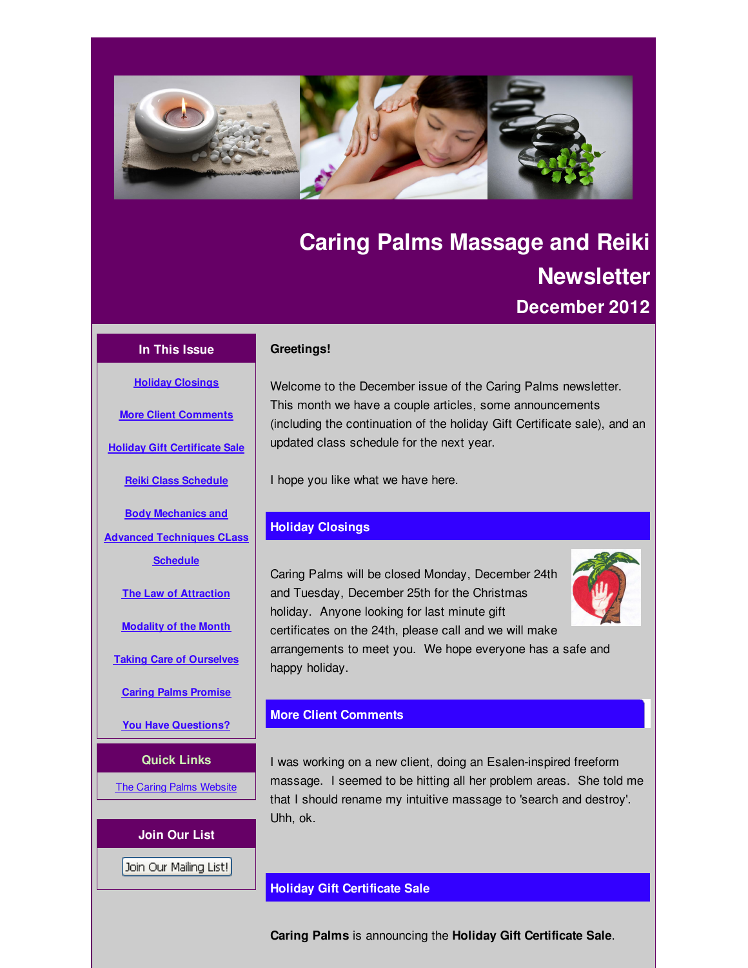<span id="page-0-0"></span>

# **Caring Palms Massage and Reiki Newsletter December 2012**

### **In This Issue**

**Holiday [Closings](#page-0-0)**

**More Client [Comments](#page-0-0)**

**Holiday Gift [Certificate](#page-0-0) Sale**

#### **Greetings!**

Welcome to the December issue of the Caring Palms newsletter. This month we have a couple articles, some announcements (including the continuation of the holiday Gift Certificate sale), and an updated class schedule for the next year.

I hope you like what we have here.

# **Holiday Closings**

Caring Palms will be closed Monday, December 24th and Tuesday, December 25th for the Christmas holiday. Anyone looking for last minute gift certificates on the 24th, please call and we will make arrangements to meet you. We hope everyone has a safe and happy holiday.

# **More Client Comments**

I was working on a new client, doing an Esalen-inspired freeform massage. I seemed to be hitting all her problem areas. She told me that I should rename my intuitive massage to 'search and destroy'. Uhh, ok.

# **Holiday Gift Certificate Sale**

**Caring Palms** is announcing the **Holiday Gift Certificate Sale**.

**Reiki Class [Schedule](#page-0-0) Body Mechanics and Advanced [Techniques](#page-0-0) CLass Schedule The Law of [Attraction](#page-0-0) [Modality](#page-0-0) of the Month**

**Taking Care of [Ourselves](#page-0-0)**

**Caring Palms [Promise](#page-0-0)**

**You Have [Questions?](#page-0-0)**

# **Quick Links**

**The Caring Palms [Website](http://r20.rs6.net/tn.jsp?f=001y1ltD-1ldJDzDiVwNHG-Es5HooYJqU2RTJRjSvwn_LiyjeQXwVNZuK_Hwz_dAh0gU0j38zH6r_SoM4DEZXn60gmlZJp0PzjpnbVmlaWxqLllzeDVHnPd3-0zijDqX3wBITm5nX9Y0VYAiDaMXRtxo9pANVMN18Se0OeugjTbjDw=&c=&ch=)** 

# **Join Our List**

Join Our Mailing List!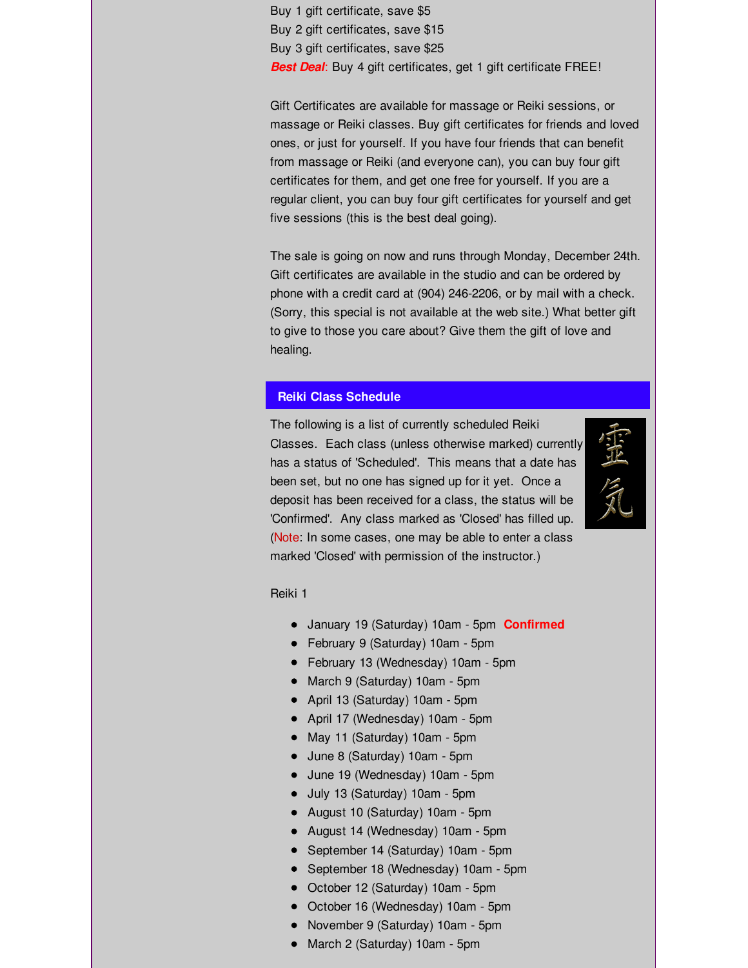Buy 1 gift certificate, save \$5 Buy 2 gift certificates, save \$15 Buy 3 gift certificates, save \$25 *Best Deal*: Buy 4 gift certificates, get 1 gift certificate FREE!

Gift Certificates are available for massage or Reiki sessions, or massage or Reiki classes. Buy gift certificates for friends and loved ones, or just for yourself. If you have four friends that can benefit from massage or Reiki (and everyone can), you can buy four gift certificates for them, and get one free for yourself. If you are a regular client, you can buy four gift certificates for yourself and get five sessions (this is the best deal going).

The sale is going on now and runs through Monday, December 24th. Gift certificates are available in the studio and can be ordered by phone with a credit card at (904) 246-2206, or by mail with a check. (Sorry, this special is not available at the web site.) What better gift to give to those you care about? Give them the gift of love and healing.

# **Reiki Class Schedule**

The following is a list of currently scheduled Reiki Classes. Each class (unless otherwise marked) currently has a status of 'Scheduled'. This means that a date has been set, but no one has signed up for it yet. Once a deposit has been received for a class, the status will be 'Confirmed'. Any class marked as 'Closed' has filled up. (Note: In some cases, one may be able to enter a class marked 'Closed' with permission of the instructor.)



Reiki 1

- January 19 (Saturday) 10am 5pm **Confirmed**
- February 9 (Saturday) 10am 5pm
- February 13 (Wednesday) 10am 5pm
- March 9 (Saturday) 10am 5pm
- April 13 (Saturday) 10am 5pm
- April 17 (Wednesday) 10am 5pm
- May 11 (Saturday) 10am 5pm
- June 8 (Saturday) 10am 5pm
- June 19 (Wednesday) 10am 5pm
- July 13 (Saturday) 10am 5pm
- August 10 (Saturday) 10am 5pm
- August 14 (Wednesday) 10am 5pm
- September 14 (Saturday) 10am 5pm
- September 18 (Wednesday) 10am 5pm
- October 12 (Saturday) 10am 5pm
- October 16 (Wednesday) 10am 5pm
- November 9 (Saturday) 10am 5pm
- March 2 (Saturday) 10am 5pm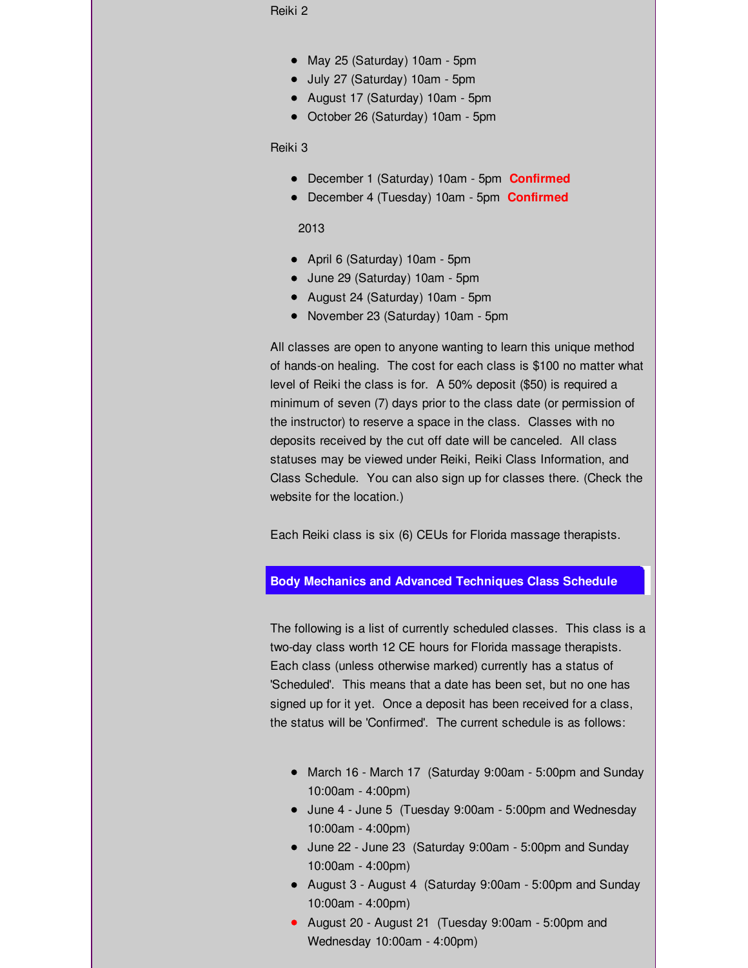Reiki 2

- May 25 (Saturday) 10am 5pm
- July 27 (Saturday) 10am 5pm
- August 17 (Saturday) 10am 5pm
- October 26 (Saturday) 10am 5pm

Reiki 3

- December 1 (Saturday) 10am 5pm **Confirmed**
- December 4 (Tuesday) 10am 5pm **Confirmed**

2013

- April 6 (Saturday) 10am 5pm
- June 29 (Saturday) 10am 5pm
- August 24 (Saturday) 10am 5pm
- November 23 (Saturday) 10am 5pm

All classes are open to anyone wanting to learn this unique method of hands-on healing. The cost for each class is \$100 no matter what level of Reiki the class is for. A 50% deposit (\$50) is required a minimum of seven (7) days prior to the class date (or permission of the instructor) to reserve a space in the class. Classes with no deposits received by the cut off date will be canceled. All class statuses may be viewed under Reiki, Reiki Class Information, and Class Schedule. You can also sign up for classes there. (Check the website for the location.)

Each Reiki class is six (6) CEUs for Florida massage therapists.

#### **Body Mechanics and Advanced Techniques Class Schedule**

The following is a list of currently scheduled classes. This class is a two-day class worth 12 CE hours for Florida massage therapists. Each class (unless otherwise marked) currently has a status of 'Scheduled'. This means that a date has been set, but no one has signed up for it yet. Once a deposit has been received for a class, the status will be 'Confirmed'. The current schedule is as follows:

- March 16 March 17 (Saturday 9:00am 5:00pm and Sunday 10:00am - 4:00pm)
- June 4 June 5 (Tuesday 9:00am 5:00pm and Wednesday 10:00am - 4:00pm)
- June 22 June 23 (Saturday 9:00am 5:00pm and Sunday 10:00am - 4:00pm)
- August 3 August 4 (Saturday 9:00am 5:00pm and Sunday 10:00am - 4:00pm)
- August 20 August 21 (Tuesday 9:00am 5:00pm and Wednesday 10:00am - 4:00pm)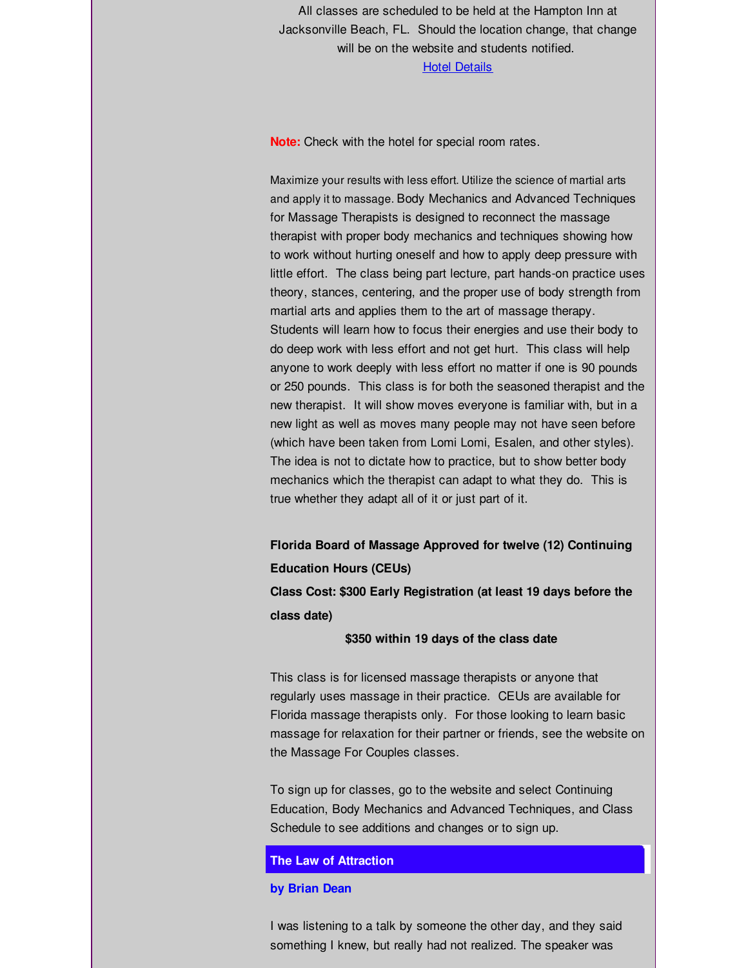All classes are scheduled to be held at the Hampton Inn at Jacksonville Beach, FL. Should the location change, that change will be on the website and students notified.

#### Hotel [Details](http://r20.rs6.net/tn.jsp?f=001y1ltD-1ldJDzDiVwNHG-Es5HooYJqU2RTJRjSvwn_LiyjeQXwVNZuAm_keXLBxt0oxUcLWuKUTVaVohJMqAxNjnjZt6s3z4MjrXryEbPtWv3rUa3NJDXHtehxHPuQ1cXJ_NvG_kH8KhudtJIpKp-Nz8GVtUoaLGbUFRGk8ZWiDnHPZSmaa7ze4h3Ru7O3XiwBiRoQn49exLB5_T5eVjXLoOp5YTVIpd8&c=&ch=)

**Note:** Check with the hotel for special room rates.

Maximize your results with less effort. Utilize the science of martial arts and apply it to massage. Body Mechanics and Advanced Techniques for Massage Therapists is designed to reconnect the massage therapist with proper body mechanics and techniques showing how to work without hurting oneself and how to apply deep pressure with little effort. The class being part lecture, part hands-on practice uses theory, stances, centering, and the proper use of body strength from martial arts and applies them to the art of massage therapy. Students will learn how to focus their energies and use their body to do deep work with less effort and not get hurt. This class will help anyone to work deeply with less effort no matter if one is 90 pounds or 250 pounds. This class is for both the seasoned therapist and the new therapist. It will show moves everyone is familiar with, but in a new light as well as moves many people may not have seen before (which have been taken from Lomi Lomi, Esalen, and other styles). The idea is not to dictate how to practice, but to show better body mechanics which the therapist can adapt to what they do. This is true whether they adapt all of it or just part of it.

**Florida Board of Massage Approved for twelve (12) Continuing Education Hours (CEUs)**

**Class Cost: \$300 Early Registration (at least 19 days before the class date)**

#### **\$350 within 19 days of the class date**

This class is for licensed massage therapists or anyone that regularly uses massage in their practice. CEUs are available for Florida massage therapists only. For those looking to learn basic massage for relaxation for their partner or friends, see the website on the Massage For Couples classes.

To sign up for classes, go to the website and select Continuing Education, Body Mechanics and Advanced Techniques, and Class Schedule to see additions and changes or to sign up.

# **The Law of Attraction**

#### **by Brian Dean**

I was listening to a talk by someone the other day, and they said something I knew, but really had not realized. The speaker was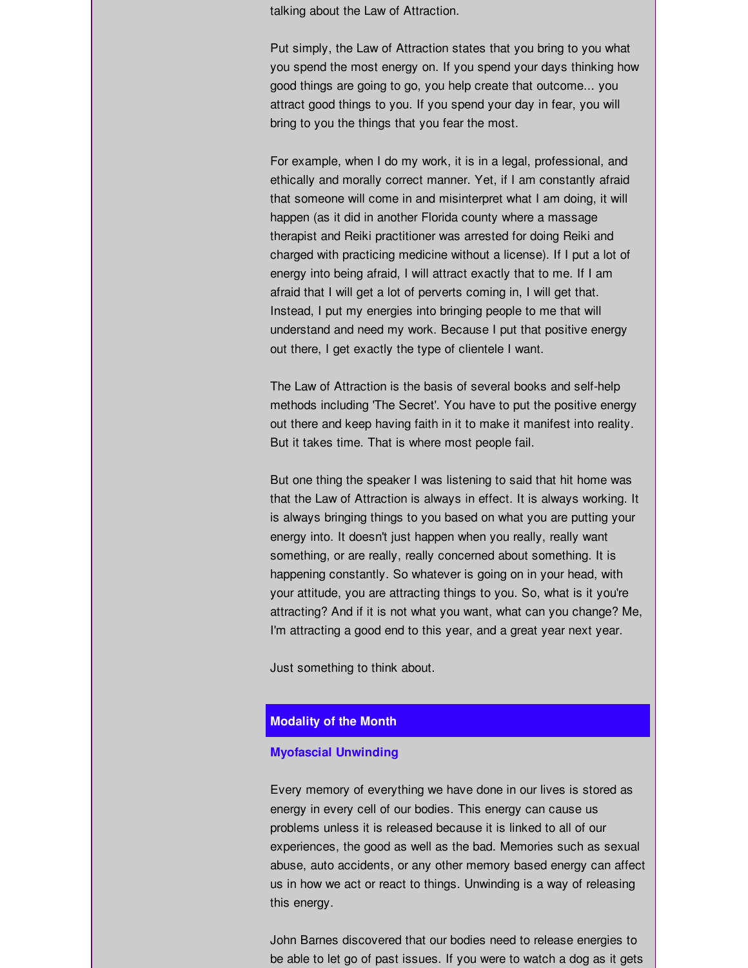talking about the Law of Attraction.

Put simply, the Law of Attraction states that you bring to you what you spend the most energy on. If you spend your days thinking how good things are going to go, you help create that outcome... you attract good things to you. If you spend your day in fear, you will bring to you the things that you fear the most.

For example, when I do my work, it is in a legal, professional, and ethically and morally correct manner. Yet, if I am constantly afraid that someone will come in and misinterpret what I am doing, it will happen (as it did in another Florida county where a massage therapist and Reiki practitioner was arrested for doing Reiki and charged with practicing medicine without a license). If I put a lot of energy into being afraid, I will attract exactly that to me. If I am afraid that I will get a lot of perverts coming in, I will get that. Instead, I put my energies into bringing people to me that will understand and need my work. Because I put that positive energy out there, I get exactly the type of clientele I want.

The Law of Attraction is the basis of several books and self-help methods including 'The Secret'. You have to put the positive energy out there and keep having faith in it to make it manifest into reality. But it takes time. That is where most people fail.

But one thing the speaker I was listening to said that hit home was that the Law of Attraction is always in effect. It is always working. It is always bringing things to you based on what you are putting your energy into. It doesn't just happen when you really, really want something, or are really, really concerned about something. It is happening constantly. So whatever is going on in your head, with your attitude, you are attracting things to you. So, what is it you're attracting? And if it is not what you want, what can you change? Me, I'm attracting a good end to this year, and a great year next year.

Just something to think about.

#### **Modality of the Month**

#### **Myofascial Unwinding**

Every memory of everything we have done in our lives is stored as energy in every cell of our bodies. This energy can cause us problems unless it is released because it is linked to all of our experiences, the good as well as the bad. Memories such as sexual abuse, auto accidents, or any other memory based energy can affect us in how we act or react to things. Unwinding is a way of releasing this energy.

John Barnes discovered that our bodies need to release energies to be able to let go of past issues. If you were to watch a dog as it gets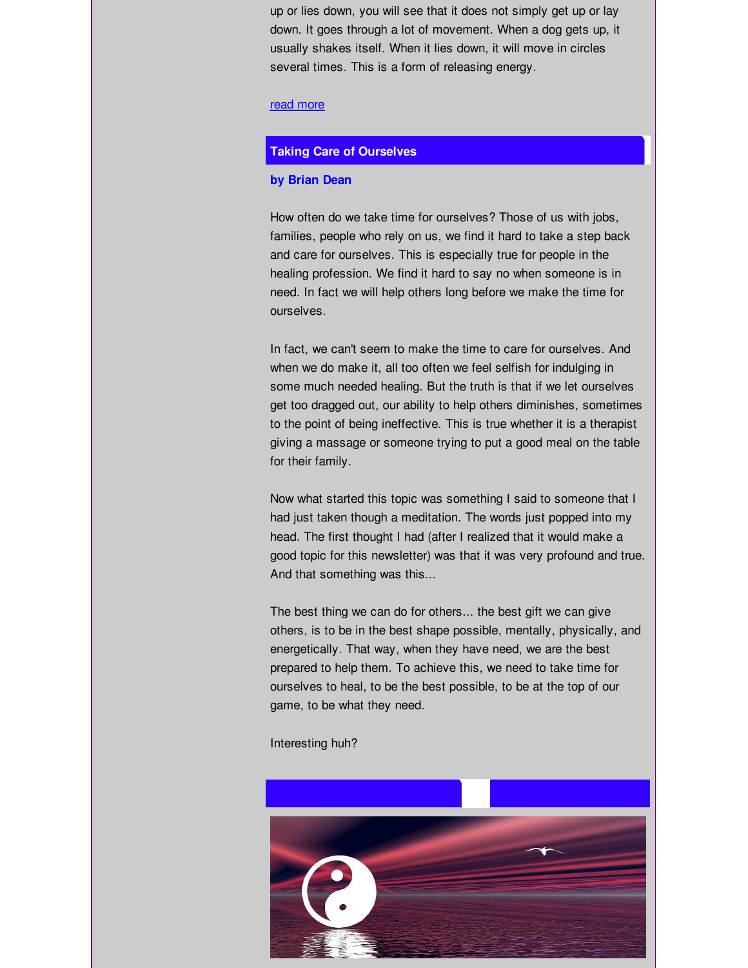up or lies down, you will see that it does not simply get up or lay down. It goes through a lot of movement. When a dog gets up, it usually shakes itself. When it lies down, it will move in circles several times. This is a form of releasing energy.

#### read [more](http://r20.rs6.net/tn.jsp?t=4wg4uglab.0.yxbj6klab.tu8uywbab.&ts=S0835&r=3&p=http%3A%2F%2Fwww.caringpalms.com%2Farticle_unwind.html)

#### **Taking Care of Ourselves**

#### **by Brian Dean**

How often do we take time for ourselves? Those of us with jobs, families, people who rely on us, we find it hard to take a step back and care for ourselves. This is especially true for people in the healing profession. We find it hard to say no when someone is in need. In fact we will help others long before we make the time for ourselves.

In fact, we can't seem to make the time to care for ourselves. And when we do make it, all too often we feel selfish for indulging in some much needed healing. But the truth is that if we let ourselves get too dragged out, our ability to help others diminishes, sometimes to the point of being ineffective. This is true whether it is a therapist giving a massage or someone trying to put a good meal on the table for their family.

Now what started this topic was something I said to someone that I had just taken though a meditation. The words just popped into my head. The first thought I had (after I realized that it would make a good topic for this newsletter) was that it was very profound and true. And that something was this...

The best thing we can do for others... the best gift we can give others, is to be in the best shape possible, mentally, physically, and energetically. That way, when they have need, we are the best prepared to help them. To achieve this, we need to take time for ourselves to heal, to be the best possible, to be at the top of our game, to be what they need.

Interesting huh?